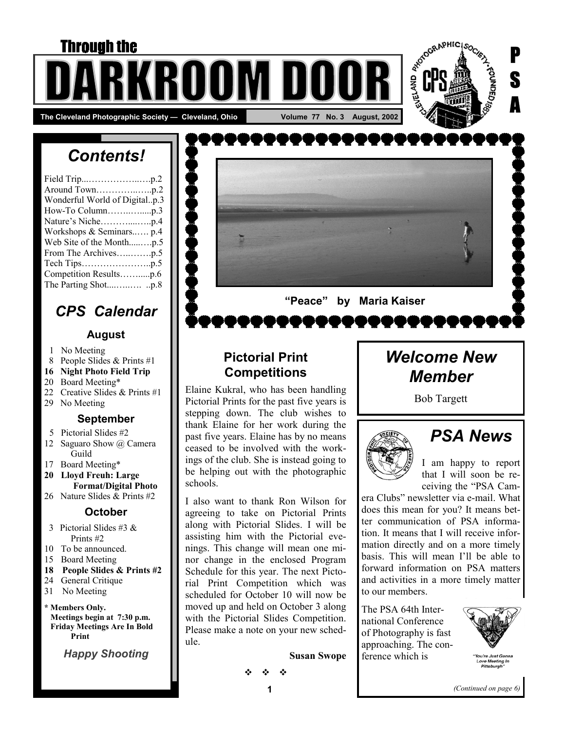# **Through the** ROOM DI The Cleveland Photographic Society — Cleveland, Ohio **No. 18 August, 2002** Volume 77 No. 3 August, 2002



# *Contents!*

| Wonderful World of Digitalp.3 |
|-------------------------------|
|                               |
|                               |
| Workshops & Seminars p.4      |
| Web Site of the Monthp.5      |
|                               |
|                               |
| Competition Resultsp.6        |
|                               |

## *CPS Calendar*

#### **August**

- 1 No Meeting
- 8 People Slides & Prints #1
- **16 Night Photo Field Trip**
- 20 Board Meeting\*
- 22 Creative Slides & Prints #1
- 29 No Meeting

#### **September**

- 5 Pictorial Slides #2
- 12 Saguaro Show @ Camera Guild
- 17 Board Meeting\*
- **20 Lloyd Freuh: Large Format/Digital Photo**
- 26 Nature Slides & Prints #2

#### **October**

- 3 Pictorial Slides #3 & Prints #2
- 10 To be announced.
- 15 Board Meeting
- **18 People Slides & Prints #2**
- 24 General Critique
- 31 No Meeting

#### **\* Members Only.**

 **Meetings begin at 7:30 p.m. Friday Meetings Are In Bold Print** 

*Happy Shooting* 



## **Pictorial Print Competitions**

Elaine Kukral, who has been handling Pictorial Prints for the past five years is stepping down. The club wishes to thank Elaine for her work during the past five years. Elaine has by no means ceased to be involved with the workings of the club. She is instead going to be helping out with the photographic schools.

I also want to thank Ron Wilson for agreeing to take on Pictorial Prints along with Pictorial Slides. I will be assisting him with the Pictorial evenings. This change will mean one minor change in the enclosed Program Schedule for this year. The next Pictorial Print Competition which was scheduled for October 10 will now be moved up and held on October 3 along with the Pictorial Slides Competition. Please make a note on your new schedule.

**Susan Swope** 

# *Welcome New Member*

Bob Targett



# *PSA News*

I am happy to report that I will soon be receiving the "PSA Cam-

era Clubs" newsletter via e-mail. What does this mean for you? It means better communication of PSA information. It means that I will receive information directly and on a more timely basis. This will mean I'll be able to forward information on PSA matters and activities in a more timely matter to our members.

The PSA 64th International Conference of Photography is fast approaching. The conference which is



*(Continued on page 6)* 

 $\ddot{\phi}$   $\ddot{\phi}$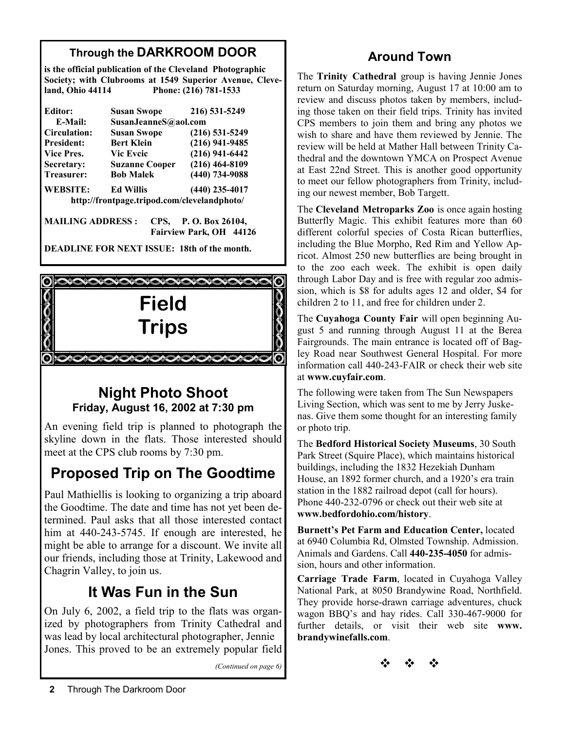## **Through the DARKROOM DOOR**

**is the official publication of the Cleveland Photographic Society; with Clubrooms at 1549 Superior Avenue, Cleveland, Ohio 44114 Phone: (216) 781-1533** 

| Editor:                                     | <b>Susan Swope</b>    | 216) 531-5249        |  |  |
|---------------------------------------------|-----------------------|----------------------|--|--|
| E-Mail:                                     |                       | SusanJeanneS@aol.com |  |  |
| <b>Circulation:</b>                         | <b>Susan Swope</b>    | $(216)$ 531-5249     |  |  |
| <b>President:</b>                           | <b>Bert Klein</b>     | $(216)$ 941-9485     |  |  |
| Vice Pres.                                  | <b>Vic Eveic</b>      | $(216)$ 941-6442     |  |  |
| Secretary:                                  | <b>Suzanne Cooper</b> | $(216)$ 464-8109     |  |  |
| Treasurer:                                  | <b>Bob Malek</b>      | $(440)$ 734-9088     |  |  |
| <b>WEBSITE:</b>                             | <b>Ed Willis</b>      | $(440)$ 235-4017     |  |  |
| http://frontpage.tripod.com/clevelandphoto/ |                       |                      |  |  |
| <b>MAILING ADDRESS:</b>                     | CPS.                  | P. O. Box 26104,     |  |  |

 **Fairview Park, OH 44126** 

**DEADLINE FOR NEXT ISSUE: 18th of the month.** 



## **Night Photo Shoot Friday, August 16, 2002 at 7:30 pm**

An evening field trip is planned to photograph the skyline down in the flats. Those interested should meet at the CPS club rooms by 7:30 pm.

# **Proposed Trip on The Goodtime**

Paul Mathiellis is looking to organizing a trip aboard the Goodtime. The date and time has not yet been determined. Paul asks that all those interested contact him at 440-243-5745. If enough are interested, he might be able to arrange for a discount. We invite all our friends, including those at Trinity, Lakewood and Chagrin Valley, to join us.

## **It Was Fun in the Sun**

On July 6, 2002, a field trip to the flats was organized by photographers from Trinity Cathedral and was lead by local architectural photographer, Jennie Jones. This proved to be an extremely popular field

*(Continued on page 6)* 

## **Around Town**

The **Trinity Cathedral** group is having Jennie Jones return on Saturday morning, August 17 at 10:00 am to review and discuss photos taken by members, including those taken on their field trips. Trinity has invited CPS members to join them and bring any photos we wish to share and have them reviewed by Jennie. The review will be held at Mather Hall between Trinity Cathedral and the downtown YMCA on Prospect Avenue at East 22nd Street. This is another good opportunity to meet our fellow photographers from Trinity, including our newest member, Bob Targett.

The **Cleveland Metroparks Zoo** is once again hosting Butterfly Magic. This exhibit features more than 60 different colorful species of Costa Rican butterflies, including the Blue Morpho, Red Rim and Yellow Apricot. Almost 250 new butterflies are being brought in to the zoo each week. The exhibit is open daily through Labor Day and is free with regular zoo admission, which is \$8 for adults ages 12 and older, \$4 for children 2 to 11, and free for children under 2.

The **Cuyahoga County Fair** will open beginning August 5 and running through August 11 at the Berea Fairgrounds. The main entrance is located off of Bagley Road near Southwest General Hospital. For more information call 440-243-FAIR or check their web site at **www.cuyfair.com**.

The following were taken from The Sun Newspapers Living Section, which was sent to me by Jerry Juskenas. Give them some thought for an interesting family or photo trip.

The **Bedford Historical Society Museums**, 30 South Park Street (Squire Place), which maintains historical buildings, including the 1832 Hezekiah Dunham House, an 1892 former church, and a 1920's era train station in the 1882 railroad depot (call for hours). Phone 440-232-0796 or check out their web site at **www.bedfordohio.com/history**.

**Burnett's Pet Farm and Education Center,** located at 6940 Columbia Rd, Olmsted Township. Admission. Animals and Gardens. Call **440-235-4050** for admission, hours and other information.

**Carriage Trade Farm**, located in Cuyahoga Valley National Park, at 8050 Brandywine Road, Northfield. They provide horse-drawn carriage adventures, chuck wagon BBQ's and hay rides. Call 330-467-9000 for further details, or visit their web site **www. brandywinefalls.com**.

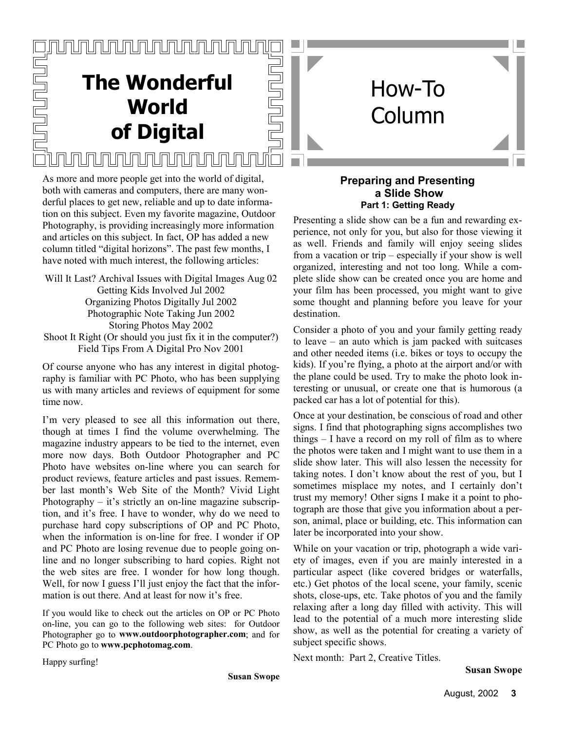# <u>JUNUNUNUNUN</u> **The Wonderful World of Digital** <u>INNUNINININININININI</u>

<u>inunununi</u>

As more and more people get into the world of digital, both with cameras and computers, there are many wonderful places to get new, reliable and up to date information on this subject. Even my favorite magazine, Outdoor Photography, is providing increasingly more information and articles on this subject. In fact, OP has added a new column titled "digital horizons". The past few months, I have noted with much interest, the following articles:

Will It Last? Archival Issues with Digital Images Aug 02 Getting Kids Involved Jul 2002 Organizing Photos Digitally Jul 2002 Photographic Note Taking Jun 2002 Storing Photos May 2002 Shoot It Right (Or should you just fix it in the computer?) Field Tips From A Digital Pro Nov 2001

Of course anyone who has any interest in digital photography is familiar with PC Photo, who has been supplying us with many articles and reviews of equipment for some time now.

I'm very pleased to see all this information out there, though at times I find the volume overwhelming. The magazine industry appears to be tied to the internet, even more now days. Both Outdoor Photographer and PC Photo have websites on-line where you can search for product reviews, feature articles and past issues. Remember last month's Web Site of the Month? Vivid Light Photography – it's strictly an on-line magazine subscription, and it's free. I have to wonder, why do we need to purchase hard copy subscriptions of OP and PC Photo, when the information is on-line for free. I wonder if OP and PC Photo are losing revenue due to people going online and no longer subscribing to hard copies. Right not the web sites are free. I wonder for how long though. Well, for now I guess I'll just enjoy the fact that the information is out there. And at least for now it's free.

If you would like to check out the articles on OP or PC Photo on-line, you can go to the following web sites: for Outdoor Photographer go to **www.outdoorphotographer.com**; and for PC Photo go to **www.pcphotomag.com**.

#### **Preparing and Presenting a Slide Show Part 1: Getting Ready**

How-To

Column

Presenting a slide show can be a fun and rewarding experience, not only for you, but also for those viewing it as well. Friends and family will enjoy seeing slides from a vacation or trip – especially if your show is well organized, interesting and not too long. While a complete slide show can be created once you are home and your film has been processed, you might want to give some thought and planning before you leave for your destination.

Consider a photo of you and your family getting ready to leave – an auto which is jam packed with suitcases and other needed items (i.e. bikes or toys to occupy the kids). If you're flying, a photo at the airport and/or with the plane could be used. Try to make the photo look interesting or unusual, or create one that is humorous (a packed car has a lot of potential for this).

Once at your destination, be conscious of road and other signs. I find that photographing signs accomplishes two things – I have a record on my roll of film as to where the photos were taken and I might want to use them in a slide show later. This will also lessen the necessity for taking notes. I don't know about the rest of you, but I sometimes misplace my notes, and I certainly don't trust my memory! Other signs I make it a point to photograph are those that give you information about a person, animal, place or building, etc. This information can later be incorporated into your show.

While on your vacation or trip, photograph a wide variety of images, even if you are mainly interested in a particular aspect (like covered bridges or waterfalls, etc.) Get photos of the local scene, your family, scenic shots, close-ups, etc. Take photos of you and the family relaxing after a long day filled with activity. This will lead to the potential of a much more interesting slide show, as well as the potential for creating a variety of subject specific shows.

Next month: Part 2, Creative Titles.

Happy surfing!

**Susan Swope**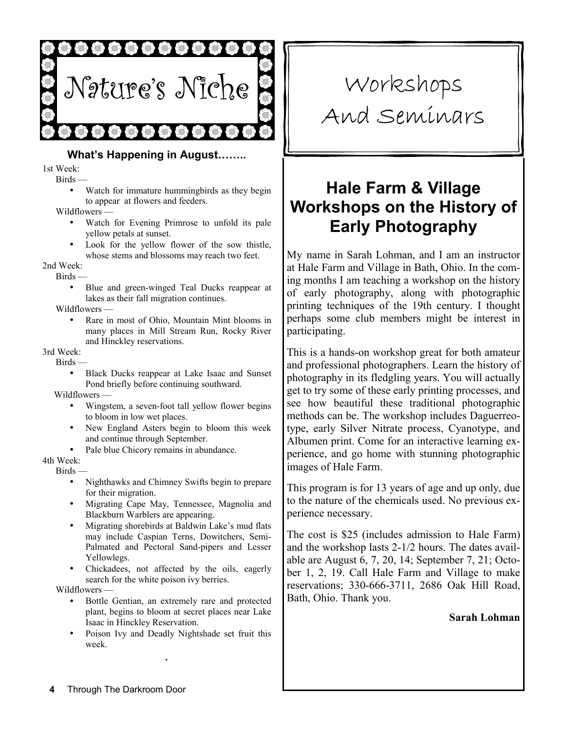

#### **What's Happening in August……..**

1st Week:

Birds —

• Watch for immature humming birds as they begin to appear at flowers and feeders.

Wildflowers —

- Watch for Evening Primrose to unfold its pale yellow petals at sunset.
- Look for the yellow flower of the sow thistle, whose stems and blossoms may reach two feet.

2nd Week:

Birds —

• Blue and green-winged Teal Ducks reappear at lakes as their fall migration continues.

Wildflowers —

• Rare in most of Ohio, Mountain Mint blooms in many places in Mill Stream Run, Rocky River and Hinckley reservations.

3rd Week:

- Birds
	- Black Ducks reappear at Lake Isaac and Sunset Pond briefly before continuing southward.

Wildflowers —

- Wingstem, a seven-foot tall yellow flower begins to bloom in low wet places.
- New England Asters begin to bloom this week and continue through September.
- Pale blue Chicory remains in abundance.

4th Week:

- Birds
	- Nighthawks and Chimney Swifts begin to prepare for their migration.
	- Migrating Cape May, Tennessee, Magnolia and Blackburn Warblers are appearing.
	- Migrating shorebirds at Baldwin Lake's mud flats may include Caspian Terns, Dowitchers, Semi-Palmated and Pectoral Sand-pipers and Lesser Yellowlegs.
	- Chickadees, not affected by the oils, eagerly search for the white poison ivy berries.

Wildflowers —

- Bottle Gentian, an extremely rare and protected plant, begins to bloom at secret places near Lake Isaac in Hinckley Reservation.
- Poison Ivy and Deadly Nightshade set fruit this week.

# Workshops And Seminars

# **Hale Farm & Village Workshops on the History of Early Photography**

My name in Sarah Lohman, and I am an instructor at Hale Farm and Village in Bath, Ohio. In the coming months I am teaching a workshop on the history of early photography, along with photographic printing techniques of the 19th century. I thought perhaps some club members might be interest in participating.

This is a hands-on workshop great for both amateur and professional photographers. Learn the history of photography in its fledgling years. You will actually get to try some of these early printing processes, and see how beautiful these traditional photographic methods can be. The workshop includes Daguerreotype, early Silver Nitrate process, Cyanotype, and Albumen print. Come for an interactive learning experience, and go home with stunning photographic images of Hale Farm.

This program is for 13 years of age and up only, due to the nature of the chemicals used. No previous experience necessary.

The cost is \$25 (includes admission to Hale Farm) and the workshop lasts 2-1/2 hours. The dates available are August 6, 7, 20, 14; September 7, 21; October 1, 2, 19. Call Hale Farm and Village to make reservations; 330-666-3711, 2686 Oak Hill Road, Bath, Ohio. Thank you.

#### **Sarah Lohman**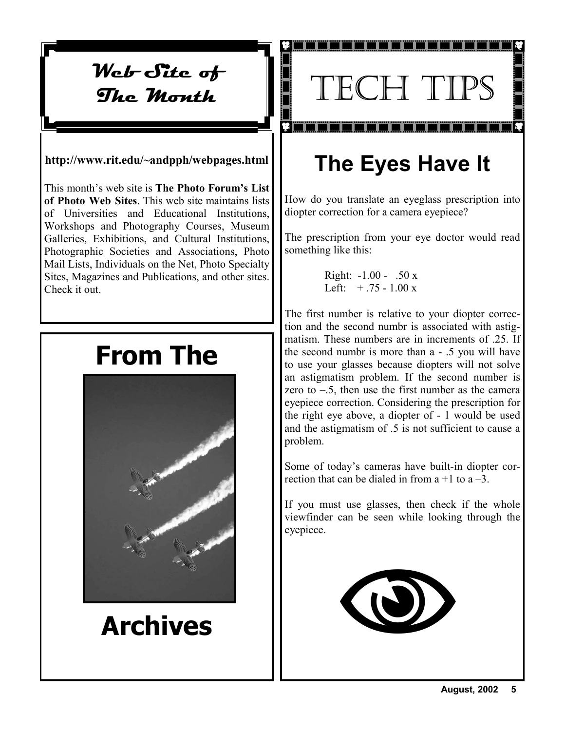Web-Site of **The Month**

#### **http://www.rit.edu/~andpph/webpages.html**

This month's web site is **The Photo Forum's List of Photo Web Sites**. This web site maintains lists of Universities and Educational Institutions, Workshops and Photography Courses, Museum Galleries, Exhibitions, and Cultural Institutions, Photographic Societies and Associations, Photo Mail Lists, Individuals on the Net, Photo Specialty Sites, Magazines and Publications, and other sites. Check it out.

# **From The**



# **Archives**

# TECH TIPS

# **The Eyes Have It**

How do you translate an eyeglass prescription into diopter correction for a camera eyepiece?

The prescription from your eye doctor would read something like this:

> Right: -1.00 - .50 x Left:  $+ .75 - 1.00 x$

The first number is relative to your diopter correction and the second numbr is associated with astigmatism. These numbers are in increments of .25. If the second numbr is more than a - .5 you will have to use your glasses because diopters will not solve an astigmatism problem. If the second number is zero to  $-.5$ , then use the first number as the camera eyepiece correction. Considering the prescription for the right eye above, a diopter of - 1 would be used and the astigmatism of .5 is not sufficient to cause a problem.

Some of today's cameras have built-in diopter correction that can be dialed in from  $a + 1$  to  $a - 3$ .

If you must use glasses, then check if the whole viewfinder can be seen while looking through the eyepiece.

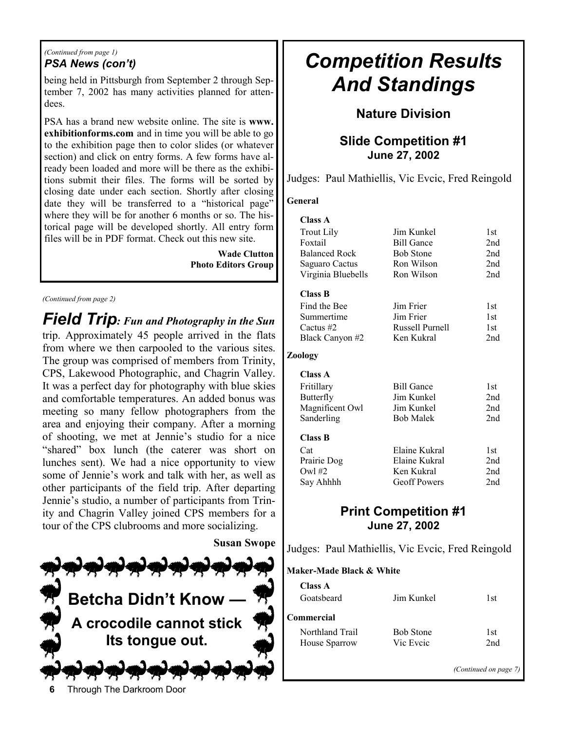#### *(Continued from page 1) PSA News (con't)*

being held in Pittsburgh from September 2 through September 7, 2002 has many activities planned for attendees.

PSA has a brand new website online. The site is **www. exhibitionforms.com** and in time you will be able to go to the exhibition page then to color slides (or whatever section) and click on entry forms. A few forms have already been loaded and more will be there as the exhibitions submit their files. The forms will be sorted by closing date under each section. Shortly after closing date they will be transferred to a "historical page" where they will be for another 6 months or so. The historical page will be developed shortly. All entry form files will be in PDF format. Check out this new site.

> **Wade Clutton Photo Editors Group**

#### *(Continued from page 2)*

*Field Trip: Fun and Photography in the Sun*  trip. Approximately 45 people arrived in the flats from where we then carpooled to the various sites. The group was comprised of members from Trinity, CPS, Lakewood Photographic, and Chagrin Valley. It was a perfect day for photography with blue skies and comfortable temperatures. An added bonus was meeting so many fellow photographers from the area and enjoying their company. After a morning of shooting, we met at Jennie's studio for a nice "shared" box lunch (the caterer was short on lunches sent). We had a nice opportunity to view some of Jennie's work and talk with her, as well as other participants of the field trip. After departing Jennie's studio, a number of participants from Trinity and Chagrin Valley joined CPS members for a tour of the CPS clubrooms and more socializing.



# *Competition Results And Standings*

#### **Nature Division**

#### **Slide Competition #1 June 27, 2002**

Judges: Paul Mathiellis, Vic Evcic, Fred Reingold

#### **General**

| <b>Class A</b>       |                     |                 |
|----------------------|---------------------|-----------------|
| <b>Trout Lily</b>    | Jim Kunkel          | 1st             |
| Foxtail              | <b>Bill Gance</b>   | 2nd             |
| <b>Balanced Rock</b> | <b>Bob Stone</b>    | 2nd             |
| Saguaro Cactus       | Ron Wilson          | 2nd             |
| Virginia Bluebells   | Ron Wilson          | 2nd             |
| <b>Class B</b>       |                     |                 |
| Find the Bee         | Jim Frier           | 1st             |
| Summertime           | Jim Frier           | 1st             |
| Cactus $#2$          | Russell Purnell     | 1st             |
| Black Canyon #2      | Ken Kukral          | 2nd             |
| Zoology              |                     |                 |
| Class A              |                     |                 |
| Fritillary           | <b>Bill Gance</b>   | 1st             |
| Butterfly            | Jim Kunkel          | 2nd             |
| Magnificent Owl      | Jim Kunkel          | 2 <sub>nd</sub> |
| Sanderling           | <b>Bob Malek</b>    | 2nd             |
| <b>Class B</b>       |                     |                 |
| Cat                  | Elaine Kukral       | 1st             |
| Prairie Dog          | Elaine Kukral       | 2nd             |
| Owl $#2$             | Ken Kukral          | 2nd             |
| Say Ahhhh            | <b>Geoff Powers</b> | 2nd             |
|                      |                     |                 |

### **Print Competition #1 June 27, 2002**

Judges: Paul Mathiellis, Vic Evcic, Fred Reingold

**Maker-Made Black & White** 

| Class A         |                  |     |
|-----------------|------------------|-----|
| Goatsbeard      | Jim Kunkel       | 1st |
| Commercial      |                  |     |
| Northland Trail | <b>Bob Stone</b> | 1st |
| House Sparrow   | Vic Eveic        | 2nd |
|                 |                  |     |

*(Continued on page 7)* 

**6** Through The Darkroom Door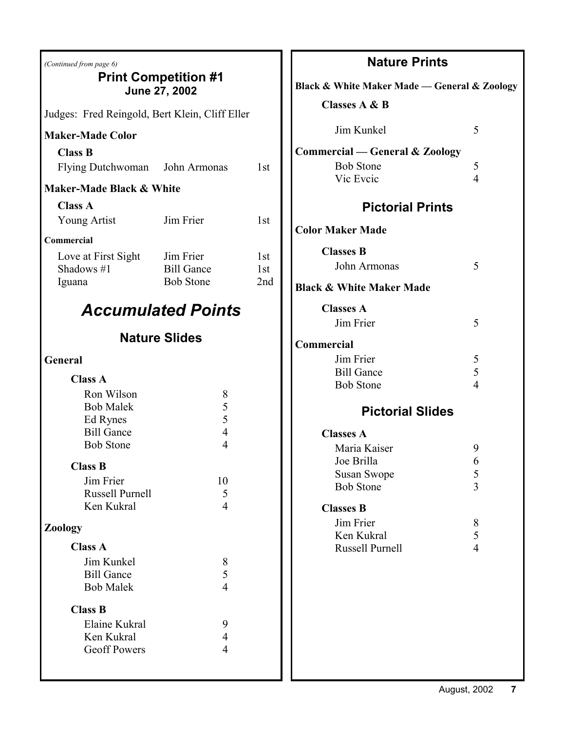| (Continued from page 6)                                | <b>Print Competition #1</b><br>June 27, 2002 |                        | Black & \       |
|--------------------------------------------------------|----------------------------------------------|------------------------|-----------------|
| Judges: Fred Reingold, Bert Klein, Cliff Eller         |                                              |                        | Cla             |
| <b>Maker-Made Color</b>                                |                                              |                        |                 |
| <b>Class B</b><br>Flying Dutchwoman John Armonas       |                                              | 1st                    | Commer          |
| Maker-Made Black & White                               |                                              |                        |                 |
| <b>Class A</b>                                         |                                              |                        |                 |
| <b>Young Artist</b>                                    | Jim Frier                                    | 1 <sub>st</sub>        | <b>Color Ma</b> |
| Commercial                                             |                                              |                        | Cla             |
| Love at First Sight $\qquad$ Jim Frier<br>Shadows $#1$ | <b>Bill Gance</b>                            | 1 <sub>st</sub><br>1st |                 |
| Iguana                                                 | <b>Bob Stone</b>                             | 2nd                    | Black &         |
|                                                        |                                              |                        |                 |
|                                                        | <b>Accumulated Points</b>                    |                        | Cla             |
|                                                        | <b>Nature Slides</b>                         |                        | Commer          |
| General                                                |                                              |                        |                 |
| <b>Class A</b>                                         |                                              |                        |                 |
| Ron Wilson                                             | 8                                            |                        |                 |
| <b>Bob Malek</b><br>Ed Rynes                           | 5<br>5                                       |                        |                 |
| <b>Bill Gance</b>                                      | $\overline{4}$                               |                        | Cla             |
| <b>Bob Stone</b>                                       | $\overline{4}$                               |                        |                 |
| <b>Class B</b>                                         |                                              |                        |                 |
| Jim Frier<br>Russell Purnell                           | 10<br>5                                      |                        |                 |
| Ken Kukral                                             | 4                                            |                        | Cl <sub>3</sub> |
| <b>Zoology</b>                                         |                                              |                        |                 |
| <b>Class A</b>                                         |                                              |                        |                 |
| Jim Kunkel                                             | 8                                            |                        |                 |
| <b>Bill Gance</b><br><b>Bob Malek</b>                  | 5<br>$\overline{4}$                          |                        |                 |
| <b>Class B</b>                                         |                                              |                        |                 |
| Elaine Kukral                                          | 9                                            |                        |                 |
| Ken Kukral<br><b>Geoff Powers</b>                      | 4<br>$\overline{4}$                          |                        |                 |
|                                                        |                                              |                        |                 |
|                                                        |                                              |                        |                 |

| <b>Nature Prints</b>                         |                     |  |  |
|----------------------------------------------|---------------------|--|--|
| Black & White Maker Made — General & Zoology |                     |  |  |
| <b>Classes A &amp; B</b>                     |                     |  |  |
| Jim Kunkel                                   | 5                   |  |  |
| <b>Commercial — General &amp; Zoology</b>    |                     |  |  |
| <b>Bob Stone</b><br>Vic Eveic                | 5<br>$\overline{4}$ |  |  |
| <b>Pictorial Prints</b>                      |                     |  |  |
|                                              |                     |  |  |
| <b>Color Maker Made</b>                      |                     |  |  |
| <b>Classes B</b><br>John Armonas             | 5                   |  |  |
| <b>Black &amp; White Maker Made</b>          |                     |  |  |
| <b>Classes A</b>                             |                     |  |  |
| Jim Frier                                    | 5                   |  |  |
| Commercial                                   |                     |  |  |
| Jim Frier<br><b>Bill Gance</b>               | 5<br>5              |  |  |
| <b>Bob Stone</b>                             | $\overline{4}$      |  |  |
| <b>Pictorial Slides</b>                      |                     |  |  |
| <b>Classes A</b>                             |                     |  |  |
| Maria Kaiser                                 | 9                   |  |  |
| Joe Brilla                                   | 6                   |  |  |
| <b>Susan Swope</b><br><b>Bob Stone</b>       | $\frac{5}{3}$       |  |  |
| <b>Classes B</b>                             |                     |  |  |
| Jim Frier                                    | 8                   |  |  |
| Ken Kukral                                   | 5                   |  |  |
| Russell Purnell                              | $\overline{4}$      |  |  |
|                                              |                     |  |  |
|                                              |                     |  |  |
|                                              |                     |  |  |